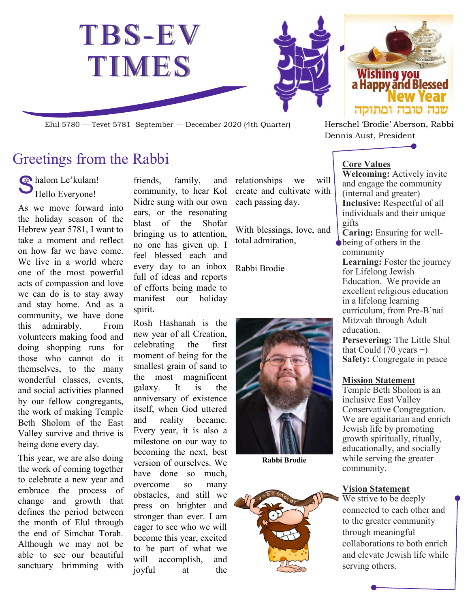

Elul 5780 — Tevet 5781 September — December 2020 (4th Quarter) Herschel 'Brodie' Aberson, Rabbi

## Greetings from the Rabbi

Shalom Le'kulam! Hello Everyone!

As we move forward into the holiday season of the Hebrew year 5781, I want to take a moment and reflect on how far we have come. We live in a world where one of the most powerful acts of compassion and love we can do is to stay away and stay home. And as a community, we have done this admirably. From volunteers making food and doing shopping runs for those who cannot do it themselves, to the many wonderful classes, events, and social activities planned by our fellow congregants, the work of making Temple Beth Sholom of the East Valley survive and thrive is being done every day.

This year, we are also doing the work of coming together to celebrate a new year and embrace the process of change and growth that defines the period between the month of Elul through the end of Simchat Torah. Although we may not be able to see our beautiful sanctuary brimming with

friends, family, and community, to hear Kol Nidre sung with our own ears, or the resonating blast of the Shofar bringing us to attention, no one has given up. I feel blessed each and every day to an inbox Rabbi Brodie full of ideas and reports of efforts being made to manifest our holiday spirit.

Rosh Hashanah is the new year of all Creation, celebrating the first moment of being for the smallest grain of sand to the most magnificent galaxy. It is the anniversary of existence itself, when God uttered and reality became. Every year, it is also a milestone on our way to becoming the next, best version of ourselves. We have done so much, overcome so many obstacles, and still we press on brighter and stronger than ever. I am eager to see who we will become this year, excited to be part of what we will accomplish, and joyful at the

relationships we will create and cultivate with each passing day.

With blessings, love, and total admiration,



**Rabbi Brodie**





Dennis Aust, President

### **Core Values**

**Welcoming:** Actively invite and engage the community (internal and greater) **Inclusive:** Respectful of all individuals and their unique gifts

**Caring:** Ensuring for wellbeing of others in the community

**Learning:** Foster the journey for Lifelong Jewish Education. We provide an excellent religious education in a lifelong learning curriculum, from Pre-B'nai Mitzvah through Adult education.

**Persevering:** The Little Shul that Could  $(70 \text{ years} +)$ **Safety:** Congregate in peace

### **Mission Statement**

Temple Beth Sholom is an inclusive East Valley Conservative Congregation. We are egalitarian and enrich Jewish life by promoting growth spiritually, ritually, educationally, and socially while serving the greater community.

### **Vision Statement**

We strive to be deeply connected to each other and to the greater community through meaningful collaborations to both enrich and elevate Jewish life while serving others.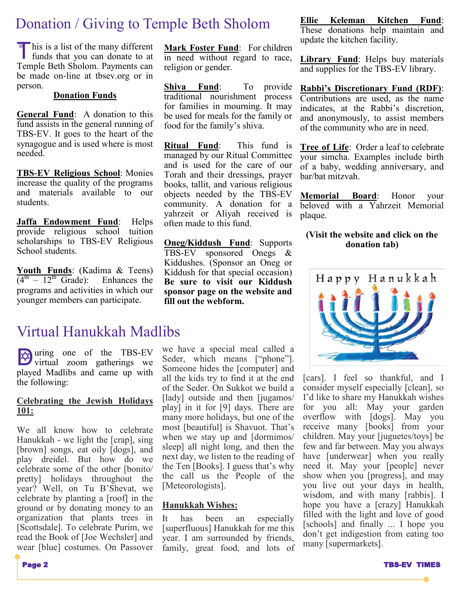## Donation / Giving to Temple Beth Sholom

This is a list of the many different<br>funds that you can donate to at funds that you can donate to at Temple Beth Sholom. Payments can be made on-line at tbsev.org or in person.

#### **Donation Funds**

**General Fund**: A donation to this fund assists in the general running of TBS-EV. It goes to the heart of the synagogue and is used where is most needed.

**TBS-EV Religious School**: Monies increase the quality of the programs and materials available to our students.

**Jaffa Endowment Fund**: Helps provide religious school tuition scholarships to TBS-EV Religious School students.

**Youth Funds**: (Kadima & Teens)  $(4<sup>th</sup> - 12<sup>th</sup>$  Grade): Enhances the programs and activities in which our younger members can participate.

### Virtual Hanukkah Madlibs

writual zoom gatherings we virtual zoom gatherings we played Madlibs and came up with the following:

### **Celebrating the Jewish Holidays 101:**

We all know how to celebrate Hanukkah - we light the [crap], sing [brown] songs, eat oily [dogs], and play dreidel. But how do we celebrate some of the other [bonito/ pretty] holidays throughout the year? Well, on Tu B'Shevat, we celebrate by planting a [roof] in the ground or by donating money to an organization that plants trees in [Scottsdale]. To celebrate Purim, we read the Book of [Joe Wechsler] and wear [blue] costumes. On Passover

**Mark Foster Fund**: For children in need without regard to race, religion or gender.

**Shiva Fund**: To provide traditional nourishment process for families in mourning. It may be used for meals for the family or food for the family's shiva.

**Ritual Fund**: This fund is managed by our Ritual Committee and is used for the care of our Torah and their dressings, prayer books, tallit, and various religious objects needed by the TBS-EV community. A donation for a yahrzeit or Aliyah received is often made to this fund.

**Oneg/Kiddush Fund**: Supports TBS-EV sponsored Onegs & Kiddushes. (Sponsor an Oneg or Kiddush for that special occasion) **Be sure to visit our Kiddush sponsor page on the website and fill out the webform.**

we have a special meal called a Seder, which means ["phone"]. Someone hides the [computer] and all the kids try to find it at the end of the Seder. On Sukkot we build a [lady] outside and then [jugamos/ play] in it for [9] days. There are many more holidays, but one of the most [beautiful] is Shavuot. That's when we stay up and [dormimos/ sleep] all night long, and then the next day, we listen to the reading of the Ten [Books]. I guess that's why the call us the People of the [Meteorologists].

#### **Hanukkah Wishes:**

It has been an especially [superfluous] Hanukkah for me this year. I am surrounded by friends, family, great food, and lots of

**Ellie Keleman Kitchen Fund**: These donations help maintain and update the kitchen facility.

**Library Fund**: Helps buy materials and supplies for the TBS-EV library.

**Rabbi's Discretionary Fund (RDF)**: Contributions are used, as the name indicates, at the Rabbi's discretion, and anonymously, to assist members of the community who are in need.

**Tree of Life**: Order a leaf to celebrate your simcha. Examples include birth of a baby, wedding anniversary, and bar/bat mitzvah.

**Memorial Board**: Honor your beloved with a Yahrzeit Memorial plaque.

#### **(Visit the website and click on the donation tab)**



[cars]. I feel so thankful, and I consider myself especially [clean], so I'd like to share my Hanukkah wishes for you all: May your garden overflow with [dogs]. May you receive many [books] from your children. May your [juguetes/toys] be few and far between. May you always have [underwear] when you really need it. May your [people] never show when you [progress], and may you live out your days in health, wisdom, and with many [rabbis]. I hope you have a [crazy] Hanukkah filled with the light and love of good [schools] and finally ... I hope you don't get indigestion from eating too many [supermarkets].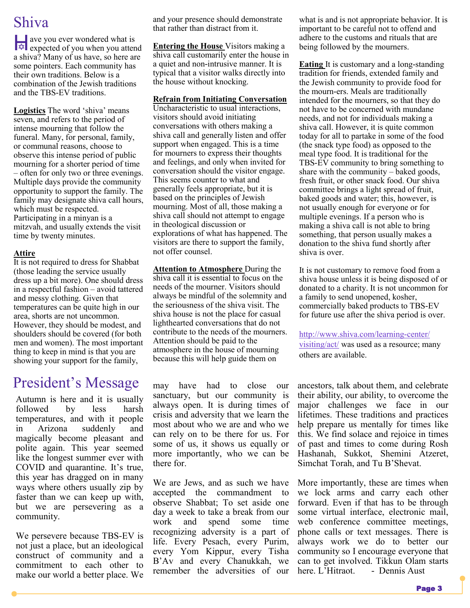## Shiva

we you ever wondered what is<br>expected of you when you attend ave you ever wondered what is a shiva? Many of us have, so here are some pointers. Each community has their own traditions. Below is a combination of the Jewish traditions and the TBS-EV traditions.

**Logistics** The word 'shiva' means seven, and refers to the period of intense mourning that follow the funeral. Many, for personal, family, or communal reasons, choose to observe this intense period of public mourning for a shorter period of time – often for only two or three evenings. Multiple days provide the community opportunity to support the family. The family may designate shiva call hours, which must be respected. Participating in a minyan is a

mitzvah, and usually extends the visit time by twenty minutes.

### **Attire**

It is not required to dress for Shabbat (those leading the service usually dress up a bit more). One should dress in a respectful fashion – avoid tattered and messy clothing. Given that temperatures can be quite high in our area, shorts are not uncommon. However, they should be modest, and shoulders should be covered (for both men and women). The most important thing to keep in mind is that you are showing your support for the family,

## President's Message

Autumn is here and it is usually followed by less harsh temperatures, and with it people in Arizona suddenly and magically become pleasant and polite again. This year seemed like the longest summer ever with COVID and quarantine. It's true, this year has dragged on in many ways where others usually zip by faster than we can keep up with, but we are persevering as a community.

We persevere because TBS-EV is not just a place, but an ideological construct of community and a commitment to each other to make our world a better place. We and your presence should demonstrate that rather than distract from it.

**Entering the House** Visitors making a shiva call customarily enter the house in a quiet and non-intrusive manner. It is typical that a visitor walks directly into the house without knocking.

#### **Refrain from Initiating Conversation**

Uncharacteristic to usual interactions, visitors should avoid initiating conversations with others making a shiva call and generally listen and offer support when engaged. This is a time for mourners to express their thoughts and feelings, and only when invited for conversation should the visitor engage. This seems counter to what and generally feels appropriate, but it is based on the principles of Jewish mourning. Most of all, those making a shiva call should not attempt to engage in theological discussion or explorations of what has happened. The visitors are there to support the family, not offer counsel.

**Attention to Atmosphere** During the shiva call it is essential to focus on the needs of the mourner. Visitors should always be mindful of the solemnity and the seriousness of the shiva visit. The shiva house is not the place for casual lighthearted conversations that do not contribute to the needs of the mourners. Attention should be paid to the atmosphere in the house of mourning because this will help guide them on

may have had to close our sanctuary, but our community is always open. It is during times of crisis and adversity that we learn the most about who we are and who we can rely on to be there for us. For some of us, it shows us equally or more importantly, who we can be there for.

We are Jews, and as such we have accepted the commandment to observe Shabbat; To set aside one day a week to take a break from our work and spend some time recognizing adversity is a part of life. Every Pesach, every Purim, every Yom Kippur, every Tisha B'Av and every Chanukkah, we remember the adversities of our

what is and is not appropriate behavior. It is important to be careful not to offend and adhere to the customs and rituals that are being followed by the mourners.

**Eating** It is customary and a long-standing tradition for friends, extended family and the Jewish community to provide food for the mourn-ers. Meals are traditionally intended for the mourners, so that they do not have to be concerned with mundane needs, and not for individuals making a shiva call. However, it is quite common today for all to partake in some of the food (the snack type food) as opposed to the meal type food. It is traditional for the TBS-EV community to bring something to share with the community – baked goods, fresh fruit, or other snack food. Our shiva committee brings a light spread of fruit, baked goods and water; this, however, is not usually enough for everyone or for multiple evenings. If a person who is making a shiva call is not able to bring something, that person usually makes a donation to the shiva fund shortly after shiva is over.

It is not customary to remove food from a shiva house unless it is being disposed of or donated to a charity. It is not uncommon for a family to send unopened, kosher, commercially baked products to TBS-EV for future use after the shiva period is over.

[http://www.shiva.com/learning-center/](http://www.shiva.com/learning-center/visiting/act/) [visiting/act/](http://www.shiva.com/learning-center/visiting/act/) was used as a resource; many others are available.

ancestors, talk about them, and celebrate their ability, our ability, to overcome the major challenges we face in our lifetimes. These traditions and practices help prepare us mentally for times like this. We find solace and rejoice in times of past and times to come during Rosh Hashanah, Sukkot, Shemini Atzeret, Simchat Torah, and Tu B'Shevat.

More importantly, these are times when we lock arms and carry each other forward. Even if that has to be through some virtual interface, electronic mail, web conference committee meetings, phone calls or text messages. There is always work we do to better our community so I encourage everyone that can to get involved. Tikkun Olam starts - Dennis Aust

Page 3